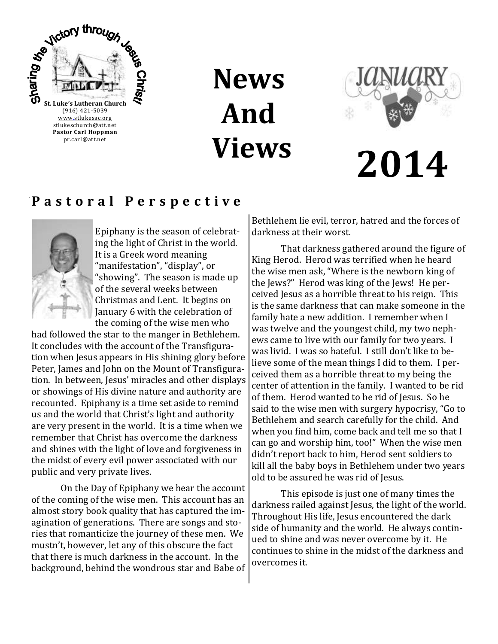

**News And Views**



# **2014**

# **P a s t o r a l P e r s p e c t i v e**



Epiphany is the season of celebrating the light of Christ in the world. It is a Greek word meaning "manifestation", "display", or "showing". The season is made up of the several weeks between Christmas and Lent. It begins on January 6 with the celebration of the coming of the wise men who

had followed the star to the manger in Bethlehem. It concludes with the account of the Transfiguration when Jesus appears in His shining glory before Peter, James and John on the Mount of Transfiguration. In between, Jesus' miracles and other displays or showings of His divine nature and authority are recounted. Epiphany is a time set aside to remind us and the world that Christ's light and authority are very present in the world. It is a time when we remember that Christ has overcome the darkness and shines with the light of love and forgiveness in the midst of every evil power associated with our public and very private lives.

On the Day of Epiphany we hear the account of the coming of the wise men. This account has an almost story book quality that has captured the imagination of generations. There are songs and stories that romanticize the journey of these men. We mustn't, however, let any of this obscure the fact that there is much darkness in the account. In the background, behind the wondrous star and Babe of Bethlehem lie evil, terror, hatred and the forces of darkness at their worst.

That darkness gathered around the figure of King Herod. Herod was terrified when he heard the wise men ask, "Where is the newborn king of the Jews?" Herod was king of the Jews! He perceived Jesus as a horrible threat to his reign. This is the same darkness that can make someone in the family hate a new addition. I remember when I was twelve and the youngest child, my two nephews came to live with our family for two years. I was livid. I was so hateful. I still don't like to believe some of the mean things I did to them. I perceived them as a horrible threat to my being the center of attention in the family. I wanted to be rid of them. Herod wanted to be rid of Jesus. So he said to the wise men with surgery hypocrisy, "Go to Bethlehem and search carefully for the child. And when you find him, come back and tell me so that I can go and worship him, too!" When the wise men didn't report back to him, Herod sent soldiers to kill all the baby boys in Bethlehem under two years old to be assured he was rid of Jesus.

This episode is just one of many times the darkness railed against Jesus, the light of the world. Throughout His life, Jesus encountered the dark side of humanity and the world. He always continued to shine and was never overcome by it. He continues to shine in the midst of the darkness and overcomes it.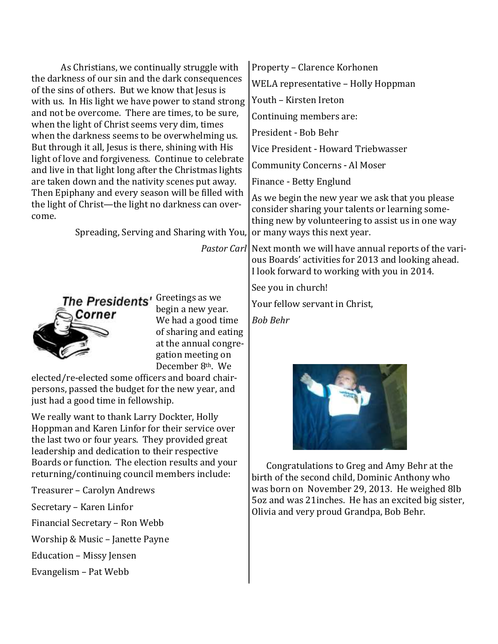| As Christians, we continually struggle with                                                                        | Property – Clarence Korhonen                                                                                                                            |
|--------------------------------------------------------------------------------------------------------------------|---------------------------------------------------------------------------------------------------------------------------------------------------------|
| the darkness of our sin and the dark consequences                                                                  | WELA representative - Holly Hoppman                                                                                                                     |
| of the sins of others. But we know that Jesus is<br>with us. In His light we have power to stand strong            | Youth - Kirsten Ireton                                                                                                                                  |
| and not be overcome. There are times, to be sure,                                                                  | Continuing members are:                                                                                                                                 |
| when the light of Christ seems very dim, times<br>when the darkness seems to be overwhelming us.                   | President - Bob Behr                                                                                                                                    |
| But through it all, Jesus is there, shining with His                                                               | Vice President - Howard Triebwasser                                                                                                                     |
| light of love and forgiveness. Continue to celebrate<br>and live in that light long after the Christmas lights     | <b>Community Concerns - Al Moser</b>                                                                                                                    |
| are taken down and the nativity scenes put away.                                                                   | Finance - Betty Englund                                                                                                                                 |
| Then Epiphany and every season will be filled with<br>the light of Christ-the light no darkness can over-<br>come. | As we begin the new year we ask that you please<br>consider sharing your talents or learning some-<br>thing new by volunteering to assist us in one way |
| Spreading, Serving and Sharing with You, or many ways this next year.                                              |                                                                                                                                                         |
|                                                                                                                    | <i>Pastor Carl</i> Next month we will have annual reports of the vari-                                                                                  |

Corner

The Presidents' Greetings as we begin a new year. We had a good time of sharing and eating at the annual congregation meeting on December 8th. We

elected/re-elected some officers and board chairpersons, passed the budget for the new year, and just had a good time in fellowship.

We really want to thank Larry Dockter, Holly Hoppman and Karen Linfor for their service over the last two or four years. They provided great leadership and dedication to their respective Boards or function. The election results and your returning/continuing council members include:

- Treasurer Carolyn Andrews
- Secretary Karen Linfor

Financial Secretary – Ron Webb

Worship & Music – Janette Payne

Education – Missy Jensen

Evangelism – Pat Webb



ous Boards' activities for 2013 and looking ahead.

I look forward to working with you in 2014.

See you in church!

*Bob Behr*

Your fellow servant in Christ,

Congratulations to Greg and Amy Behr at the birth of the second child, Dominic Anthony who was born on November 29, 2013. He weighed 8lb 5oz and was 21inches. He has an excited big sister, Olivia and very proud Grandpa, Bob Behr.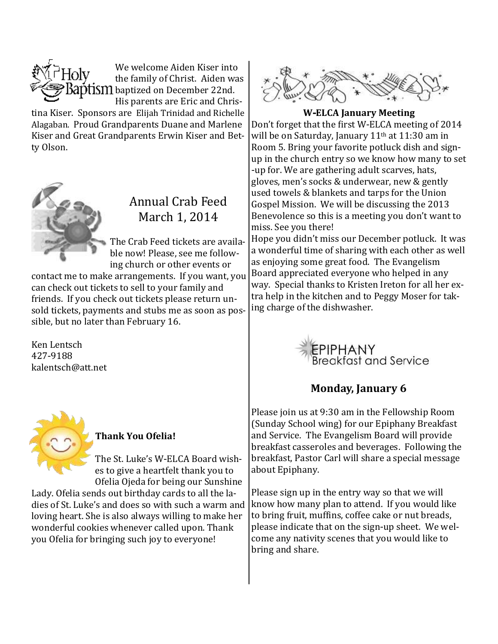

We welcome Aiden Kiser into the family of Christ. Aiden was **BaptiSIII** baptized on December 22nd. His parents are Eric and Chris-

tina Kiser. Sponsors are Elijah Trinidad and Richelle Alagaban. Proud Grandparents Duane and Marlene Kiser and Great Grandparents Erwin Kiser and Betty Olson.



# Annual Crab Feed March 1, 2014

The Crab Feed tickets are available now! Please, see me following church or other events or

contact me to make arrangements. If you want, you can check out tickets to sell to your family and friends. If you check out tickets please return unsold tickets, payments and stubs me as soon as possible, but no later than February 16.

Ken Lentsch 427-9188 kalentsch@att.net



#### **Thank You Ofelia!**

The St. Luke's W-ELCA Board wishes to give a heartfelt thank you to Ofelia Ojeda for being our Sunshine

Lady. Ofelia sends out birthday cards to all the ladies of St. Luke's and does so with such a warm and loving heart. She is also always willing to make her wonderful cookies whenever called upon. Thank you Ofelia for bringing such joy to everyone!



**W-ELCA January Meeting**

Don't forget that the first W-ELCA meeting of 2014 will be on Saturday, January 11<sup>th</sup> at 11:30 am in Room 5. Bring your favorite potluck dish and signup in the church entry so we know how many to set -up for. We are gathering adult scarves, hats, gloves, men's socks & underwear, new & gently used towels & blankets and tarps for the Union Gospel Mission. We will be discussing the 2013 Benevolence so this is a meeting you don't want to miss. See you there!

Hope you didn't miss our December potluck. It was a wonderful time of sharing with each other as well as enjoying some great food. The Evangelism Board appreciated everyone who helped in any way. Special thanks to Kristen Ireton for all her extra help in the kitchen and to Peggy Moser for taking charge of the dishwasher.



# **Monday, January 6**

Please join us at 9:30 am in the Fellowship Room (Sunday School wing) for our Epiphany Breakfast and Service. The Evangelism Board will provide breakfast casseroles and beverages. Following the breakfast, Pastor Carl will share a special message about Epiphany.

Please sign up in the entry way so that we will know how many plan to attend. If you would like to bring fruit, muffins, coffee cake or nut breads, please indicate that on the sign-up sheet. We welcome any nativity scenes that you would like to bring and share.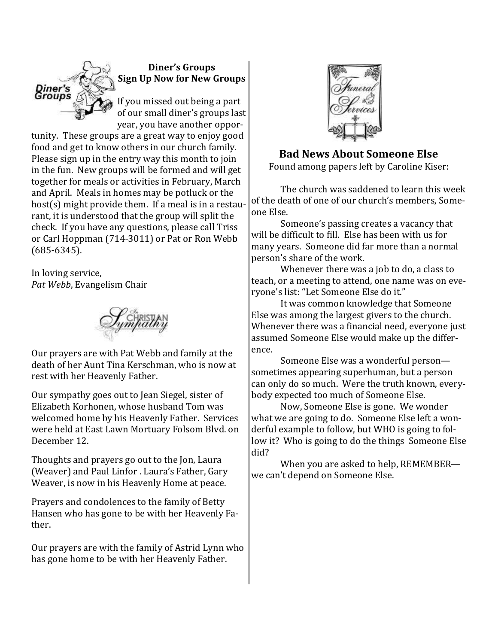

**Diner's Groups Sign Up Now for New Groups**

If you missed out being a part of our small diner's groups last year, you have another oppor-

tunity. These groups are a great way to enjoy good food and get to know others in our church family. Please sign up in the entry way this month to join in the fun. New groups will be formed and will get together for meals or activities in February, March and April. Meals in homes may be potluck or the host(s) might provide them. If a meal is in a restaurant, it is understood that the group will split the check. If you have any questions, please call Triss or Carl Hoppman (714-3011) or Pat or Ron Webb (685-6345).

In loving service, *Pat Webb*, Evangelism Chair



Our prayers are with Pat Webb and family at the death of her Aunt Tina Kerschman, who is now at rest with her Heavenly Father.

Our sympathy goes out to Jean Siegel, sister of Elizabeth Korhonen, whose husband Tom was welcomed home by his Heavenly Father. Services were held at East Lawn Mortuary Folsom Blvd. on December 12.

Thoughts and prayers go out to the Jon, Laura (Weaver) and Paul Linfor . Laura's Father, Gary Weaver, is now in his Heavenly Home at peace.

Prayers and condolences to the family of Betty Hansen who has gone to be with her Heavenly Father.

Our prayers are with the family of Astrid Lynn who has gone home to be with her Heavenly Father.



#### **Bad News About Someone Else**

Found among papers left by Caroline Kiser:

The church was saddened to learn this week of the death of one of our church's members, Someone Else.

Someone's passing creates a vacancy that will be difficult to fill. Else has been with us for many years. Someone did far more than a normal person's share of the work.

Whenever there was a job to do, a class to teach, or a meeting to attend, one name was on everyone's list: "Let Someone Else do it."

It was common knowledge that Someone Else was among the largest givers to the church. Whenever there was a financial need, everyone just assumed Someone Else would make up the difference.

Someone Else was a wonderful person sometimes appearing superhuman, but a person can only do so much. Were the truth known, everybody expected too much of Someone Else.

Now, Someone Else is gone. We wonder what we are going to do. Someone Else left a wonderful example to follow, but WHO is going to follow it? Who is going to do the things Someone Else did?

When you are asked to help, REMEMBER we can't depend on Someone Else.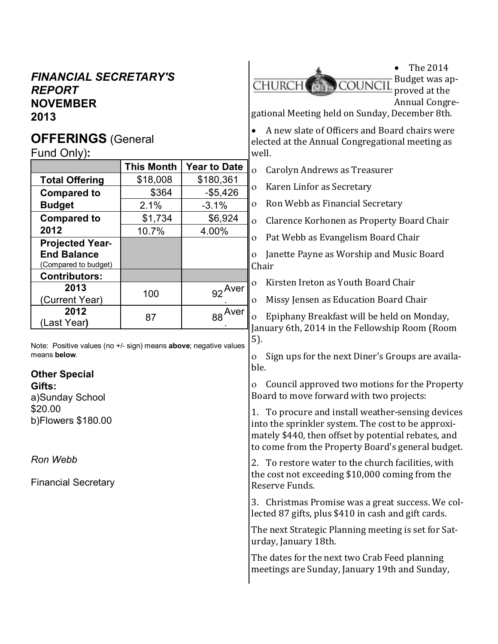# *FINANCIAL SECRETARY'S REPORT* **NOVEMBER 2013**

# **OFFERINGS** (General

Fund Only)**:**

|                                            | <b>This Month</b> | <b>Year to Date</b> |
|--------------------------------------------|-------------------|---------------------|
| <b>Total Offering</b>                      | \$18,008          | \$180,361           |
| <b>Compared to</b>                         | \$364             | $-$5,426$           |
| <b>Budget</b>                              | 2.1%              | $-3.1%$             |
| <b>Compared to</b>                         | \$1,734           | \$6,924             |
| 2012                                       | 10.7%             | 4.00%               |
| <b>Projected Year-</b>                     |                   |                     |
| <b>End Balance</b><br>(Compared to budget) |                   |                     |
| <b>Contributors:</b>                       |                   |                     |
| 2013<br>(Current Year)                     | 100               | <b>Aver</b><br>92   |
| 2012<br>(Last Year)                        | 87                | Aver                |

Note: Positive values (no +/- sign) means **above**; negative values means **below**.

#### **Other Special**

**Gifts:** a)Sunday School \$20.00 b)Flowers \$180.00

*Ron Webb*

Financial Secretary



gational Meeting held on Sunday, December 8th.

 A new slate of Officers and Board chairs were elected at the Annual Congregational meeting as well.

Carolyn Andrews as Treasurer

o Karen Linfor as Secretary

o Ron Webb as Financial Secretary

Clarence Korhonen as Property Board Chair

Pat Webb as Evangelism Board Chair

 Janette Payne as Worship and Music Board Chair

o Kirsten Ireton as Youth Board Chair

Missy Jensen as Education Board Chair

 Epiphany Breakfast will be held on Monday, January 6th, 2014 in the Fellowship Room (Room 5).

 Sign ups for the next Diner's Groups are available.

 Council approved two motions for the Property Board to move forward with two projects:

1. To procure and install weather-sensing devices into the sprinkler system. The cost to be approximately \$440, then offset by potential rebates, and to come from the Property Board's general budget.

2. To restore water to the church facilities, with the cost not exceeding \$10,000 coming from the Reserve Funds.

3. Christmas Promise was a great success. We collected 87 gifts, plus \$410 in cash and gift cards.

The next Strategic Planning meeting is set for Saturday, January 18th.

The dates for the next two Crab Feed planning meetings are Sunday, January 19th and Sunday,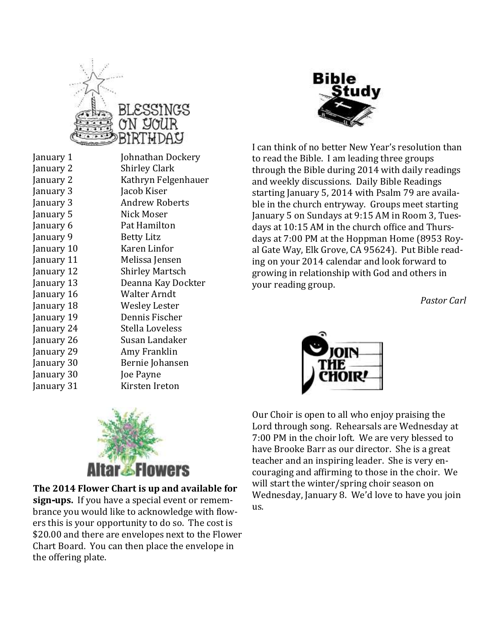





I can think of no better New Year's resolution than to read the Bible. I am leading three groups through the Bible during 2014 with daily readings and weekly discussions. Daily Bible Readings starting January 5, 2014 with Psalm 79 are available in the church entryway. Groups meet starting January 5 on Sundays at 9:15 AM in Room 3, Tuesdays at 10:15 AM in the church office and Thursdays at 7:00 PM at the Hoppman Home (8953 Royal Gate Way, Elk Grove, CA 95624). Put Bible reading on your 2014 calendar and look forward to growing in relationship with God and others in your reading group.

*Pastor Carl*







**The 2014 Flower Chart is up and available for sign-ups.** If you have a special event or remembrance you would like to acknowledge with flowers this is your opportunity to do so. The cost is \$20.00 and there are envelopes next to the Flower Chart Board. You can then place the envelope in the offering plate.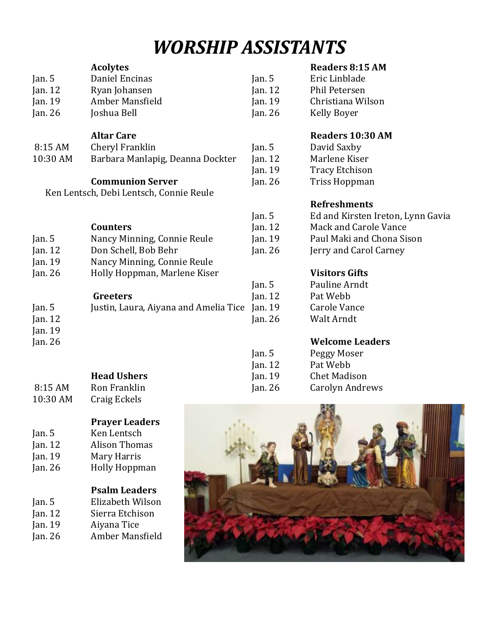# *WORSHIP ASSISTANTS*

#### **Acolytes** Jan. 5 Daniel Encinas Jan. 12 Ryan Johansen Jan. 19 Amber Mansfield Jan. 26 Joshua Bell Jan. 5 Eric Linblade Jan. 12 Phil Petersen Jan. 26 Kelly Boyer

#### **Altar Care**

8:15 AM Cheryl Franklin 10:30 AM Barbara Manlapig, Deanna Dockter

#### **Communion Server**

Ken Lentsch, Debi Lentsch, Connie Reule

#### **Counters**

Jan. 5 Nancy Minning, Connie Reule Jan. 12 Don Schell, Bob Behr Jan. 19 Nancy Minning, Connie Reule Jan. 26 Holly Hoppman, Marlene Kiser

#### **Greeters**

| Jan. $5$  | Justin, Laura, Aiyana and Amelia Tice Jan |              |
|-----------|-------------------------------------------|--------------|
| Jan. $12$ |                                           | lan          |
| Jan. $19$ |                                           |              |
| Jan. $26$ |                                           |              |
|           |                                           | $\mathbf{a}$ |

#### **Head Ushers**

8:15 AM Ron Franklin 10:30 AM Craig Eckels

#### **Prayer Leaders**

- Jan. 5 Ken Lentsch
- Jan. 12 Alison Thomas
- Jan. 19 Mary Harris Jan. 26 Holly Hoppman

# **Psalm Leaders**

- Jan. 5 Elizabeth Wilson Jan. 12 Sierra Etchison Jan. 19 Aiyana Tice
- Jan. 26 Amber Mansfield

# **Readers 8:15 AM**

Jan. 19 Christiana Wilson

# **Readers 10:30 AM**

Jan. 5 David Saxby Jan. 12 Marlene Kiser Jan. 19 Tracy Etchison Jan. 26 Triss Hoppman

# **Refreshments**

| Jan. 5  | Ed and Kirsten Ireton, Lynn Gavia |
|---------|-----------------------------------|
| Jan. 12 | Mack and Carole Vance             |
| Jan. 19 | Paul Maki and Chona Sison         |
| Jan. 26 | Jerry and Carol Carney            |
|         |                                   |

# **Visitors Gifts**

| Jan. $5$  | Pauline Arndt |
|-----------|---------------|
| Jan. $12$ | Pat Webb      |
| Jan. $19$ | Carole Vance  |
| Jan. $26$ | Walt Arndt    |
|           |               |

# **Welcome Leaders**

| Jan. 5  | Peggy Moser            |
|---------|------------------------|
| Jan. 12 | Pat Webb               |
| Jan. 19 | <b>Chet Madison</b>    |
| Jan. 26 | <b>Carolyn Andrews</b> |